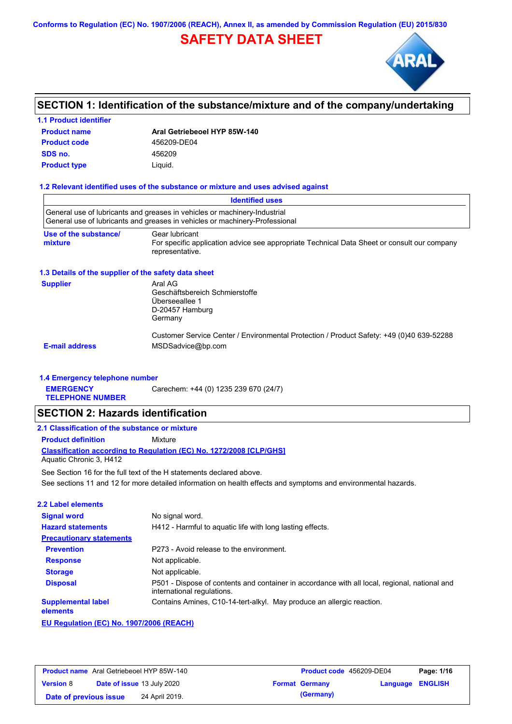**Conforms to Regulation (EC) No. 1907/2006 (REACH), Annex II, as amended by Commission Regulation (EU) 2015/830**

# **SAFETY DATA SHEET**



# **SECTION 1: Identification of the substance/mixture and of the company/undertaking**

# **Product name 1.1 Product identifier SDS no.** 456209

**Aral Getriebeoel HYP 85W-140 Product type Liquid. Product code 456209-DE04** 

### **1.2 Relevant identified uses of the substance or mixture and uses advised against**

|                                                                                                                                                                      | <b>Identified uses</b>                                                                                        |  |  |  |
|----------------------------------------------------------------------------------------------------------------------------------------------------------------------|---------------------------------------------------------------------------------------------------------------|--|--|--|
| General use of lubricants and greases in vehicles or machinery-Industrial<br>General use of lubricants and greases in vehicles or machinery-Professional             |                                                                                                               |  |  |  |
| Use of the substance/<br>Gear lubricant<br>For specific application advice see appropriate Technical Data Sheet or consult our company<br>mixture<br>representative. |                                                                                                               |  |  |  |
| 1.3 Details of the supplier of the safety data sheet                                                                                                                 |                                                                                                               |  |  |  |
| <b>Supplier</b>                                                                                                                                                      | Aral AG<br>Geschäftsbereich Schmierstoffe<br>Überseeallee 1<br>D-20457 Hamburg<br>Germany                     |  |  |  |
| <b>E-mail address</b>                                                                                                                                                | Customer Service Center / Environmental Protection / Product Safety: +49 (0)40 639-52288<br>MSDSadvice@bp.com |  |  |  |

### **1.4 Emergency telephone number**

**EMERGENCY**  Carechem: +44 (0) 1235 239 670 (24/7)

**TELEPHONE NUMBER**

## **SECTION 2: Hazards identification**

### **2.1 Classification of the substance or mixture**

**Product definition** Mixture

**Classification according to Regulation (EC) No. 1272/2008 [CLP/GHS]** Aquatic Chronic 3, H412

See Section 16 for the full text of the H statements declared above.

See sections 11 and 12 for more detailed information on health effects and symptoms and environmental hazards.

| 2.2 Label elements                    |                                                                                                                             |  |  |
|---------------------------------------|-----------------------------------------------------------------------------------------------------------------------------|--|--|
| <b>Signal word</b>                    | No signal word.                                                                                                             |  |  |
| <b>Hazard statements</b>              | H412 - Harmful to aquatic life with long lasting effects.                                                                   |  |  |
| <b>Precautionary statements</b>       |                                                                                                                             |  |  |
| <b>Prevention</b>                     | P273 - Avoid release to the environment.                                                                                    |  |  |
| <b>Response</b>                       | Not applicable.                                                                                                             |  |  |
| <b>Storage</b>                        | Not applicable.                                                                                                             |  |  |
| <b>Disposal</b>                       | P501 - Dispose of contents and container in accordance with all local, regional, national and<br>international regulations. |  |  |
| <b>Supplemental label</b><br>elements | Contains Amines, C10-14-tert-alkyl. May produce an allergic reaction.                                                       |  |  |
|                                       |                                                                                                                             |  |  |

**EU Regulation (EC) No. 1907/2006 (REACH)**

| <b>Product name</b> Aral Getriebeoel HYP 85W-140 |  | <b>Product code</b> 456209-DE04   |  | Page: 1/16            |                         |  |
|--------------------------------------------------|--|-----------------------------------|--|-----------------------|-------------------------|--|
| <b>Version 8</b>                                 |  | <b>Date of issue 13 July 2020</b> |  | <b>Format Germany</b> | <b>Language ENGLISH</b> |  |
| Date of previous issue                           |  | 24 April 2019.                    |  | (Germany)             |                         |  |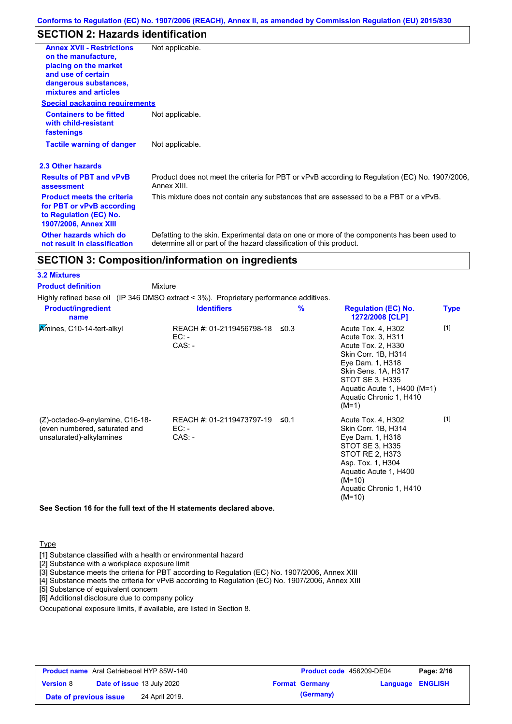# **SECTION 2: Hazards identification**

| <b>Annex XVII - Restrictions</b>                                                                                         | Not applicable.                                                                                                                                                   |
|--------------------------------------------------------------------------------------------------------------------------|-------------------------------------------------------------------------------------------------------------------------------------------------------------------|
| on the manufacture,                                                                                                      |                                                                                                                                                                   |
| placing on the market                                                                                                    |                                                                                                                                                                   |
| and use of certain                                                                                                       |                                                                                                                                                                   |
| dangerous substances,                                                                                                    |                                                                                                                                                                   |
| mixtures and articles                                                                                                    |                                                                                                                                                                   |
| <b>Special packaging requirements</b>                                                                                    |                                                                                                                                                                   |
| <b>Containers to be fitted</b><br>with child-resistant<br>fastenings                                                     | Not applicable.                                                                                                                                                   |
| <b>Tactile warning of danger</b>                                                                                         | Not applicable.                                                                                                                                                   |
| 2.3 Other hazards                                                                                                        |                                                                                                                                                                   |
| <b>Results of PBT and vPvB</b><br>assessment                                                                             | Product does not meet the criteria for PBT or vPvB according to Regulation (EC) No. 1907/2006,<br>Annex XIII.                                                     |
| <b>Product meets the criteria</b><br>for PBT or vPvB according<br>to Regulation (EC) No.<br><b>1907/2006, Annex XIII</b> | This mixture does not contain any substances that are assessed to be a PBT or a vPvB.                                                                             |
| Other hazards which do<br>not result in classification                                                                   | Defatting to the skin. Experimental data on one or more of the components has been used to<br>determine all or part of the hazard classification of this product. |

### **SECTION 3: Composition/information on ingredients**

**3.2 Mixtures**

**Product definition**

| <b>Mixture</b> |
|----------------|
|                |

Highly refined base oil (IP 346 DMSO extract < 3%). Proprietary performance additives. **Amines, C10-14-tert-alkyl** REACH #: 01-2119456798-18 ≤0.3 EC: - CAS: - ≤0.3 Acute Tox. 4, H302 Acute Tox. 3, H311 Acute Tox. 2, H330 Skin Corr. 1B, H314 Eye Dam. 1, H318 Skin Sens. 1A, H317 STOT SE 3, H335 Aquatic Acute 1, H400 (M=1) Aquatic Chronic 1, H410  $(M=1)$ ≤0.1 Acute Tox. 4, H302 **Product/ingredient name % Regulation (EC) No. Identifiers Type 1272/2008 [CLP]**

[1]

[1]

Asp. Tox. 1, H304 Aquatic Acute 1, H400

Aquatic Chronic 1, H410

(M=10)

 $(M=10)$ 

(Z)-octadec-9-enylamine, C16-18- (even numbered, saturated and unsaturated)-alkylamines REACH #: 01-2119473797-19  $EC: -$ CAS: - Skin Corr. 1B, H314 Eye Dam. 1, H318 STOT SE 3, H335 STOT RE 2, H373

#### **See Section 16 for the full text of the H statements declared above.**

**Type** 

[1] Substance classified with a health or environmental hazard

[2] Substance with a workplace exposure limit

[3] Substance meets the criteria for PBT according to Regulation (EC) No. 1907/2006, Annex XIII

[4] Substance meets the criteria for vPvB according to Regulation (EC) No. 1907/2006, Annex XIII

[5] Substance of equivalent concern

[6] Additional disclosure due to company policy

Occupational exposure limits, if available, are listed in Section 8.

| <b>Product name</b> Aral Getriebeoel HYP 85W-140 |  | <b>Product code</b> 456209-DE04   |                       | Page: 2/16 |                         |
|--------------------------------------------------|--|-----------------------------------|-----------------------|------------|-------------------------|
| <b>Version 8</b>                                 |  | <b>Date of issue 13 July 2020</b> | <b>Format Germany</b> |            | <b>Language ENGLISH</b> |
| Date of previous issue                           |  | 24 April 2019.                    | (Germany)             |            |                         |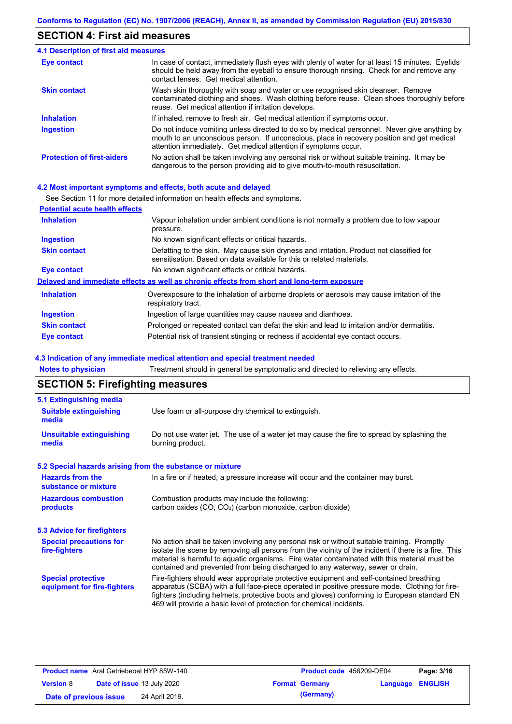## **SECTION 4: First aid measures**

| <b>4.1 Description of first aid measures</b> |                                                                                                                                                                                                                                                               |
|----------------------------------------------|---------------------------------------------------------------------------------------------------------------------------------------------------------------------------------------------------------------------------------------------------------------|
| Eye contact                                  | In case of contact, immediately flush eyes with plenty of water for at least 15 minutes. Eyelids<br>should be held away from the eyeball to ensure thorough rinsing. Check for and remove any<br>contact lenses. Get medical attention.                       |
| <b>Skin contact</b>                          | Wash skin thoroughly with soap and water or use recognised skin cleanser. Remove<br>contaminated clothing and shoes. Wash clothing before reuse. Clean shoes thoroughly before<br>reuse. Get medical attention if irritation develops.                        |
| <b>Inhalation</b>                            | If inhaled, remove to fresh air. Get medical attention if symptoms occur.                                                                                                                                                                                     |
| <b>Ingestion</b>                             | Do not induce vomiting unless directed to do so by medical personnel. Never give anything by<br>mouth to an unconscious person. If unconscious, place in recovery position and get medical<br>attention immediately. Get medical attention if symptoms occur. |
| <b>Protection of first-aiders</b>            | No action shall be taken involving any personal risk or without suitable training. It may be<br>dangerous to the person providing aid to give mouth-to-mouth resuscitation.                                                                                   |

### **4.2 Most important symptoms and effects, both acute and delayed**

See Section 11 for more detailed information on health effects and symptoms.

| <b>Potential acute health effects</b> |                                                                                                                                                                   |
|---------------------------------------|-------------------------------------------------------------------------------------------------------------------------------------------------------------------|
| <b>Inhalation</b>                     | Vapour inhalation under ambient conditions is not normally a problem due to low vapour<br>pressure.                                                               |
| <b>Ingestion</b>                      | No known significant effects or critical hazards.                                                                                                                 |
| <b>Skin contact</b>                   | Defatting to the skin. May cause skin dryness and irritation. Product not classified for<br>sensitisation. Based on data available for this or related materials. |
| <b>Eye contact</b>                    | No known significant effects or critical hazards.                                                                                                                 |
|                                       | Delayed and immediate effects as well as chronic effects from short and long-term exposure                                                                        |
| <b>Inhalation</b>                     | Overexposure to the inhalation of airborne droplets or aerosols may cause irritation of the<br>respiratory tract.                                                 |
| <b>Ingestion</b>                      | Ingestion of large quantities may cause nausea and diarrhoea.                                                                                                     |
| <b>Skin contact</b>                   | Prolonged or repeated contact can defat the skin and lead to irritation and/or dermatitis.                                                                        |
| <b>Eye contact</b>                    | Potential risk of transient stinging or redness if accidental eye contact occurs.                                                                                 |

### **4.3 Indication of any immediate medical attention and special treatment needed**

| <b>Notes to physician</b>                                 | Treatment should in general be symptomatic and directed to relieving any effects.                                                                                                                                                                                                                                                                                                     |  |  |  |  |  |
|-----------------------------------------------------------|---------------------------------------------------------------------------------------------------------------------------------------------------------------------------------------------------------------------------------------------------------------------------------------------------------------------------------------------------------------------------------------|--|--|--|--|--|
|                                                           | <b>SECTION 5: Firefighting measures</b>                                                                                                                                                                                                                                                                                                                                               |  |  |  |  |  |
| 5.1 Extinguishing media                                   |                                                                                                                                                                                                                                                                                                                                                                                       |  |  |  |  |  |
| <b>Suitable extinguishing</b><br>media                    | Use foam or all-purpose dry chemical to extinguish.                                                                                                                                                                                                                                                                                                                                   |  |  |  |  |  |
| <b>Unsuitable extinguishing</b><br>media                  | Do not use water jet. The use of a water jet may cause the fire to spread by splashing the<br>burning product.                                                                                                                                                                                                                                                                        |  |  |  |  |  |
| 5.2 Special hazards arising from the substance or mixture |                                                                                                                                                                                                                                                                                                                                                                                       |  |  |  |  |  |
| <b>Hazards from the</b><br>substance or mixture           | In a fire or if heated, a pressure increase will occur and the container may burst.                                                                                                                                                                                                                                                                                                   |  |  |  |  |  |
| <b>Hazardous combustion</b><br>products                   | Combustion products may include the following:<br>carbon oxides (CO, CO <sub>2</sub> ) (carbon monoxide, carbon dioxide)                                                                                                                                                                                                                                                              |  |  |  |  |  |
| 5.3 Advice for firefighters                               |                                                                                                                                                                                                                                                                                                                                                                                       |  |  |  |  |  |
| <b>Special precautions for</b><br>fire-fighters           | No action shall be taken involving any personal risk or without suitable training. Promptly<br>isolate the scene by removing all persons from the vicinity of the incident if there is a fire. This<br>material is harmful to aquatic organisms. Fire water contaminated with this material must be<br>contained and prevented from being discharged to any waterway, sewer or drain. |  |  |  |  |  |
| <b>Special protective</b><br>equipment for fire-fighters  | Fire-fighters should wear appropriate protective equipment and self-contained breathing<br>apparatus (SCBA) with a full face-piece operated in positive pressure mode. Clothing for fire-<br>fighters (including helmets, protective boots and gloves) conforming to European standard EN                                                                                             |  |  |  |  |  |

| <b>Product name</b> Aral Getriebeoel HYP 85W-140 |  | <b>Product code</b> 456209-DE04   |  | Page: 3/16            |                         |  |
|--------------------------------------------------|--|-----------------------------------|--|-----------------------|-------------------------|--|
| <b>Version 8</b>                                 |  | <b>Date of issue 13 July 2020</b> |  | <b>Format Germany</b> | <b>Language ENGLISH</b> |  |
| Date of previous issue                           |  | 24 April 2019.                    |  | (Germany)             |                         |  |

469 will provide a basic level of protection for chemical incidents.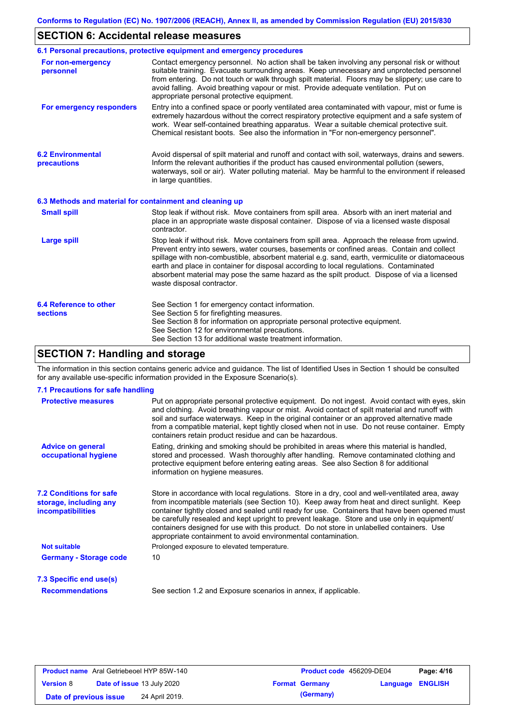# **SECTION 6: Accidental release measures**

|                                                                                                                                                                                                                                                                                                                                                                                                                                                                     | 6.1 Personal precautions, protective equipment and emergency procedures                                                                                                                                                                                                                                                                                                                                                                                                                                               |  |  |  |  |
|---------------------------------------------------------------------------------------------------------------------------------------------------------------------------------------------------------------------------------------------------------------------------------------------------------------------------------------------------------------------------------------------------------------------------------------------------------------------|-----------------------------------------------------------------------------------------------------------------------------------------------------------------------------------------------------------------------------------------------------------------------------------------------------------------------------------------------------------------------------------------------------------------------------------------------------------------------------------------------------------------------|--|--|--|--|
| Contact emergency personnel. No action shall be taken involving any personal risk or without<br>For non-emergency<br>suitable training. Evacuate surrounding areas. Keep unnecessary and unprotected personnel<br>personnel<br>from entering. Do not touch or walk through spilt material. Floors may be slippery; use care to<br>avoid falling. Avoid breathing vapour or mist. Provide adequate ventilation. Put on<br>appropriate personal protective equipment. |                                                                                                                                                                                                                                                                                                                                                                                                                                                                                                                       |  |  |  |  |
| For emergency responders                                                                                                                                                                                                                                                                                                                                                                                                                                            | Entry into a confined space or poorly ventilated area contaminated with vapour, mist or fume is<br>extremely hazardous without the correct respiratory protective equipment and a safe system of<br>work. Wear self-contained breathing apparatus. Wear a suitable chemical protective suit.<br>Chemical resistant boots. See also the information in "For non-emergency personnel".                                                                                                                                  |  |  |  |  |
| <b>6.2 Environmental</b><br><b>precautions</b>                                                                                                                                                                                                                                                                                                                                                                                                                      | Avoid dispersal of spilt material and runoff and contact with soil, waterways, drains and sewers.<br>Inform the relevant authorities if the product has caused environmental pollution (sewers,<br>waterways, soil or air). Water polluting material. May be harmful to the environment if released<br>in large quantities.                                                                                                                                                                                           |  |  |  |  |
|                                                                                                                                                                                                                                                                                                                                                                                                                                                                     | 6.3 Methods and material for containment and cleaning up                                                                                                                                                                                                                                                                                                                                                                                                                                                              |  |  |  |  |
| <b>Small spill</b>                                                                                                                                                                                                                                                                                                                                                                                                                                                  | Stop leak if without risk. Move containers from spill area. Absorb with an inert material and<br>place in an appropriate waste disposal container. Dispose of via a licensed waste disposal<br>contractor.                                                                                                                                                                                                                                                                                                            |  |  |  |  |
| <b>Large spill</b>                                                                                                                                                                                                                                                                                                                                                                                                                                                  | Stop leak if without risk. Move containers from spill area. Approach the release from upwind.<br>Prevent entry into sewers, water courses, basements or confined areas. Contain and collect<br>spillage with non-combustible, absorbent material e.g. sand, earth, vermiculite or diatomaceous<br>earth and place in container for disposal according to local regulations. Contaminated<br>absorbent material may pose the same hazard as the spilt product. Dispose of via a licensed<br>waste disposal contractor. |  |  |  |  |
| <b>6.4 Reference to other</b><br><b>sections</b>                                                                                                                                                                                                                                                                                                                                                                                                                    | See Section 1 for emergency contact information.<br>See Section 5 for firefighting measures.<br>See Section 8 for information on appropriate personal protective equipment.<br>See Section 12 for environmental precautions.<br>See Section 13 for additional waste treatment information.                                                                                                                                                                                                                            |  |  |  |  |

# **SECTION 7: Handling and storage**

The information in this section contains generic advice and guidance. The list of Identified Uses in Section 1 should be consulted for any available use-specific information provided in the Exposure Scenario(s).

| 7.1 Precautions for safe handling                                                    |                                                                                                                                                                                                                                                                                                                                                                                                                                                                                                                                                               |
|--------------------------------------------------------------------------------------|---------------------------------------------------------------------------------------------------------------------------------------------------------------------------------------------------------------------------------------------------------------------------------------------------------------------------------------------------------------------------------------------------------------------------------------------------------------------------------------------------------------------------------------------------------------|
| <b>Protective measures</b>                                                           | Put on appropriate personal protective equipment. Do not ingest. Avoid contact with eyes, skin<br>and clothing. Avoid breathing vapour or mist. Avoid contact of spilt material and runoff with<br>soil and surface waterways. Keep in the original container or an approved alternative made<br>from a compatible material, kept tightly closed when not in use. Do not reuse container. Empty<br>containers retain product residue and can be hazardous.                                                                                                    |
| <b>Advice on general</b><br>occupational hygiene                                     | Eating, drinking and smoking should be prohibited in areas where this material is handled,<br>stored and processed. Wash thoroughly after handling. Remove contaminated clothing and<br>protective equipment before entering eating areas. See also Section 8 for additional<br>information on hygiene measures.                                                                                                                                                                                                                                              |
| <b>7.2 Conditions for safe</b><br>storage, including any<br><i>incompatibilities</i> | Store in accordance with local regulations. Store in a dry, cool and well-ventilated area, away<br>from incompatible materials (see Section 10). Keep away from heat and direct sunlight. Keep<br>container tightly closed and sealed until ready for use. Containers that have been opened must<br>be carefully resealed and kept upright to prevent leakage. Store and use only in equipment/<br>containers designed for use with this product. Do not store in unlabelled containers. Use<br>appropriate containment to avoid environmental contamination. |
| <b>Not suitable</b>                                                                  | Prolonged exposure to elevated temperature.                                                                                                                                                                                                                                                                                                                                                                                                                                                                                                                   |
| <b>Germany - Storage code</b>                                                        | 10                                                                                                                                                                                                                                                                                                                                                                                                                                                                                                                                                            |
| 7.3 Specific end use(s)                                                              |                                                                                                                                                                                                                                                                                                                                                                                                                                                                                                                                                               |
| <b>Recommendations</b>                                                               | See section 1.2 and Exposure scenarios in annex, if applicable.                                                                                                                                                                                                                                                                                                                                                                                                                                                                                               |

| <b>Product name</b> Aral Getriebeoel HYP 85W-140 |  |                                   | Product code 456209-DE04 |                         | Page: 4/16 |
|--------------------------------------------------|--|-----------------------------------|--------------------------|-------------------------|------------|
| <b>Version 8</b>                                 |  | <b>Date of issue 13 July 2020</b> | <b>Format Germany</b>    | <b>Language ENGLISH</b> |            |
| Date of previous issue                           |  | 24 April 2019.                    | (Germany)                |                         |            |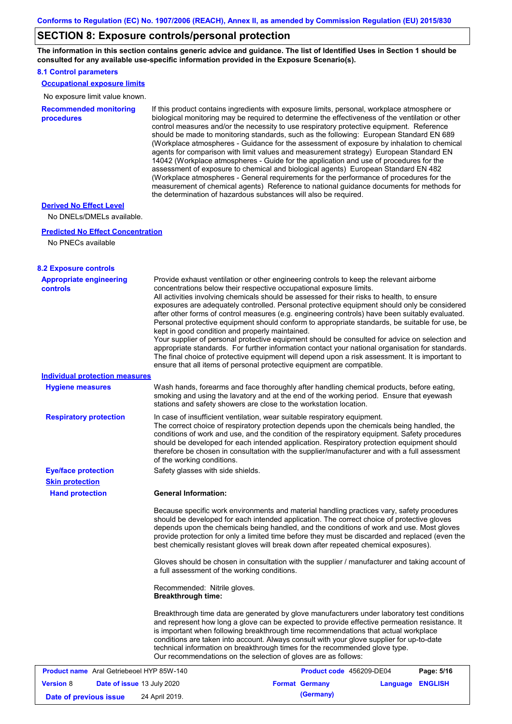## **SECTION 8: Exposure controls/personal protection**

**The information in this section contains generic advice and guidance. The list of Identified Uses in Section 1 should be consulted for any available use-specific information provided in the Exposure Scenario(s).**

### **8.1 Control parameters**

**procedures**

**Occupational exposure limits**

No exposure limit value known.

**Recommended monitoring**  If this product contains ingredients with exposure limits, personal, workplace atmosphere or biological monitoring may be required to determine the effectiveness of the ventilation or other control measures and/or the necessity to use respiratory protective equipment. Reference should be made to monitoring standards, such as the following: European Standard EN 689 (Workplace atmospheres - Guidance for the assessment of exposure by inhalation to chemical agents for comparison with limit values and measurement strategy) European Standard EN 14042 (Workplace atmospheres - Guide for the application and use of procedures for the assessment of exposure to chemical and biological agents) European Standard EN 482 (Workplace atmospheres - General requirements for the performance of procedures for the measurement of chemical agents) Reference to national guidance documents for methods for the determination of hazardous substances will also be required.

#### **Derived No Effect Level**

No DNELs/DMELs available.

#### **Predicted No Effect Concentration**

No PNECs available

#### **8.2 Exposure controls**

| <b>Appropriate engineering</b><br><b>controls</b> | Provide exhaust ventilation or other engineering controls to keep the relevant airborne<br>concentrations below their respective occupational exposure limits.<br>All activities involving chemicals should be assessed for their risks to health, to ensure<br>exposures are adequately controlled. Personal protective equipment should only be considered<br>after other forms of control measures (e.g. engineering controls) have been suitably evaluated.<br>Personal protective equipment should conform to appropriate standards, be suitable for use, be<br>kept in good condition and properly maintained.<br>Your supplier of personal protective equipment should be consulted for advice on selection and<br>appropriate standards. For further information contact your national organisation for standards.<br>The final choice of protective equipment will depend upon a risk assessment. It is important to<br>ensure that all items of personal protective equipment are compatible. |                          |                  |            |
|---------------------------------------------------|---------------------------------------------------------------------------------------------------------------------------------------------------------------------------------------------------------------------------------------------------------------------------------------------------------------------------------------------------------------------------------------------------------------------------------------------------------------------------------------------------------------------------------------------------------------------------------------------------------------------------------------------------------------------------------------------------------------------------------------------------------------------------------------------------------------------------------------------------------------------------------------------------------------------------------------------------------------------------------------------------------|--------------------------|------------------|------------|
| <b>Individual protection measures</b>             |                                                                                                                                                                                                                                                                                                                                                                                                                                                                                                                                                                                                                                                                                                                                                                                                                                                                                                                                                                                                         |                          |                  |            |
| <b>Hygiene measures</b>                           | Wash hands, forearms and face thoroughly after handling chemical products, before eating,<br>smoking and using the lavatory and at the end of the working period. Ensure that eyewash<br>stations and safety showers are close to the workstation location.                                                                                                                                                                                                                                                                                                                                                                                                                                                                                                                                                                                                                                                                                                                                             |                          |                  |            |
| <b>Respiratory protection</b>                     | In case of insufficient ventilation, wear suitable respiratory equipment.<br>The correct choice of respiratory protection depends upon the chemicals being handled, the<br>conditions of work and use, and the condition of the respiratory equipment. Safety procedures<br>should be developed for each intended application. Respiratory protection equipment should<br>therefore be chosen in consultation with the supplier/manufacturer and with a full assessment<br>of the working conditions.                                                                                                                                                                                                                                                                                                                                                                                                                                                                                                   |                          |                  |            |
| <b>Eye/face protection</b>                        | Safety glasses with side shields.                                                                                                                                                                                                                                                                                                                                                                                                                                                                                                                                                                                                                                                                                                                                                                                                                                                                                                                                                                       |                          |                  |            |
| <b>Skin protection</b>                            |                                                                                                                                                                                                                                                                                                                                                                                                                                                                                                                                                                                                                                                                                                                                                                                                                                                                                                                                                                                                         |                          |                  |            |
| <b>Hand protection</b>                            | <b>General Information:</b>                                                                                                                                                                                                                                                                                                                                                                                                                                                                                                                                                                                                                                                                                                                                                                                                                                                                                                                                                                             |                          |                  |            |
|                                                   | Because specific work environments and material handling practices vary, safety procedures<br>should be developed for each intended application. The correct choice of protective gloves<br>depends upon the chemicals being handled, and the conditions of work and use. Most gloves<br>provide protection for only a limited time before they must be discarded and replaced (even the<br>best chemically resistant gloves will break down after repeated chemical exposures).<br>Gloves should be chosen in consultation with the supplier / manufacturer and taking account of<br>a full assessment of the working conditions.<br>Recommended: Nitrile gloves.<br><b>Breakthrough time:</b><br>Breakthrough time data are generated by glove manufacturers under laboratory test conditions<br>and represent how long a glove can be expected to provide effective permeation resistance. It<br>is important when following breakthrough time recommendations that actual workplace                 |                          |                  |            |
|                                                   | conditions are taken into account. Always consult with your glove supplier for up-to-date<br>technical information on breakthrough times for the recommended glove type.<br>Our recommendations on the selection of gloves are as follows:                                                                                                                                                                                                                                                                                                                                                                                                                                                                                                                                                                                                                                                                                                                                                              |                          |                  |            |
| <b>Product name</b> Aral Getriebeoel HYP 85W-140  |                                                                                                                                                                                                                                                                                                                                                                                                                                                                                                                                                                                                                                                                                                                                                                                                                                                                                                                                                                                                         | Product code 456209-DE04 |                  | Page: 5/16 |
| <b>Version 8</b><br>Date of issue 13 July 2020    |                                                                                                                                                                                                                                                                                                                                                                                                                                                                                                                                                                                                                                                                                                                                                                                                                                                                                                                                                                                                         | <b>Format Germany</b>    | Language ENGLISH |            |
| Date of previous issue                            | 24 April 2019.                                                                                                                                                                                                                                                                                                                                                                                                                                                                                                                                                                                                                                                                                                                                                                                                                                                                                                                                                                                          | (Germany)                |                  |            |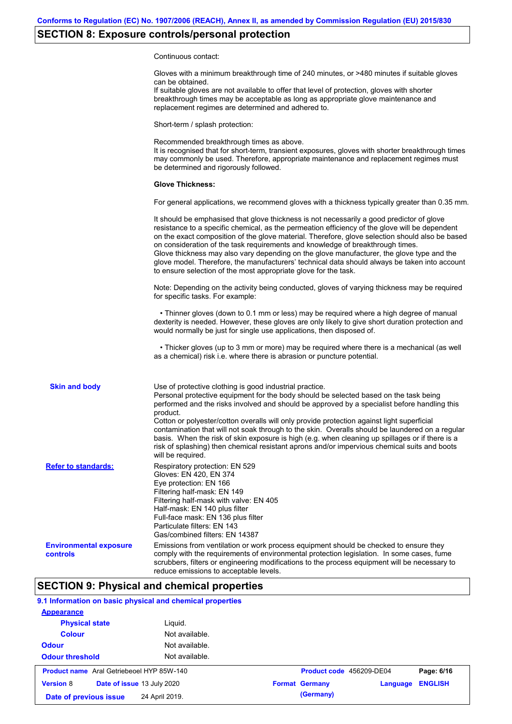# **SECTION 8: Exposure controls/personal protection**

Continuous contact:

|                                                  | Gloves with a minimum breakthrough time of 240 minutes, or >480 minutes if suitable gloves<br>can be obtained.<br>If suitable gloves are not available to offer that level of protection, gloves with shorter<br>breakthrough times may be acceptable as long as appropriate glove maintenance and<br>replacement regimes are determined and adhered to.                                                                                                                                                                                                                                                                                                                              |
|--------------------------------------------------|---------------------------------------------------------------------------------------------------------------------------------------------------------------------------------------------------------------------------------------------------------------------------------------------------------------------------------------------------------------------------------------------------------------------------------------------------------------------------------------------------------------------------------------------------------------------------------------------------------------------------------------------------------------------------------------|
|                                                  | Short-term / splash protection:                                                                                                                                                                                                                                                                                                                                                                                                                                                                                                                                                                                                                                                       |
|                                                  | Recommended breakthrough times as above.<br>It is recognised that for short-term, transient exposures, gloves with shorter breakthrough times<br>may commonly be used. Therefore, appropriate maintenance and replacement regimes must<br>be determined and rigorously followed.                                                                                                                                                                                                                                                                                                                                                                                                      |
|                                                  | <b>Glove Thickness:</b>                                                                                                                                                                                                                                                                                                                                                                                                                                                                                                                                                                                                                                                               |
|                                                  | For general applications, we recommend gloves with a thickness typically greater than 0.35 mm.                                                                                                                                                                                                                                                                                                                                                                                                                                                                                                                                                                                        |
|                                                  | It should be emphasised that glove thickness is not necessarily a good predictor of glove<br>resistance to a specific chemical, as the permeation efficiency of the glove will be dependent<br>on the exact composition of the glove material. Therefore, glove selection should also be based<br>on consideration of the task requirements and knowledge of breakthrough times.<br>Glove thickness may also vary depending on the glove manufacturer, the glove type and the<br>glove model. Therefore, the manufacturers' technical data should always be taken into account<br>to ensure selection of the most appropriate glove for the task.                                     |
|                                                  | Note: Depending on the activity being conducted, gloves of varying thickness may be required<br>for specific tasks. For example:                                                                                                                                                                                                                                                                                                                                                                                                                                                                                                                                                      |
|                                                  | • Thinner gloves (down to 0.1 mm or less) may be required where a high degree of manual<br>dexterity is needed. However, these gloves are only likely to give short duration protection and<br>would normally be just for single use applications, then disposed of.                                                                                                                                                                                                                                                                                                                                                                                                                  |
|                                                  | • Thicker gloves (up to 3 mm or more) may be required where there is a mechanical (as well<br>as a chemical) risk i.e. where there is abrasion or puncture potential.                                                                                                                                                                                                                                                                                                                                                                                                                                                                                                                 |
| <b>Skin and body</b>                             | Use of protective clothing is good industrial practice.<br>Personal protective equipment for the body should be selected based on the task being<br>performed and the risks involved and should be approved by a specialist before handling this<br>product.<br>Cotton or polyester/cotton overalls will only provide protection against light superficial<br>contamination that will not soak through to the skin. Overalls should be laundered on a regular<br>basis. When the risk of skin exposure is high (e.g. when cleaning up spillages or if there is a<br>risk of splashing) then chemical resistant aprons and/or impervious chemical suits and boots<br>will be required. |
| <b>Refer to standards:</b>                       | Respiratory protection: EN 529<br>Gloves: EN 420, EN 374<br>Eye protection: EN 166<br>Filtering half-mask: EN 149<br>Filtering half-mask with valve: EN 405<br>Half-mask: EN 140 plus filter<br>Full-face mask: EN 136 plus filter<br>Particulate filters: EN 143<br>Gas/combined filters: EN 14387                                                                                                                                                                                                                                                                                                                                                                                   |
| <b>Environmental exposure</b><br><b>controls</b> | Emissions from ventilation or work process equipment should be checked to ensure they<br>comply with the requirements of environmental protection legislation. In some cases, fume<br>scrubbers, filters or engineering modifications to the process equipment will be necessary to<br>reduce emissions to acceptable levels.                                                                                                                                                                                                                                                                                                                                                         |

# **SECTION 9: Physical and chemical properties**

| 9.1 Information on basic physical and chemical properties |                |                          |          |                |
|-----------------------------------------------------------|----------------|--------------------------|----------|----------------|
| <b>Appearance</b>                                         |                |                          |          |                |
| <b>Physical state</b>                                     | Liquid.        |                          |          |                |
| <b>Colour</b>                                             | Not available. |                          |          |                |
| <b>Odour</b>                                              | Not available. |                          |          |                |
| <b>Odour threshold</b>                                    | Not available. |                          |          |                |
| <b>Product name</b> Aral Getriebeoel HYP 85W-140          |                | Product code 456209-DE04 |          | Page: 6/16     |
| <b>Version 8</b><br>Date of issue 13 July 2020            |                | <b>Format Germany</b>    | Language | <b>ENGLISH</b> |
| Date of previous issue<br>24 April 2019.                  |                | (Germany)                |          |                |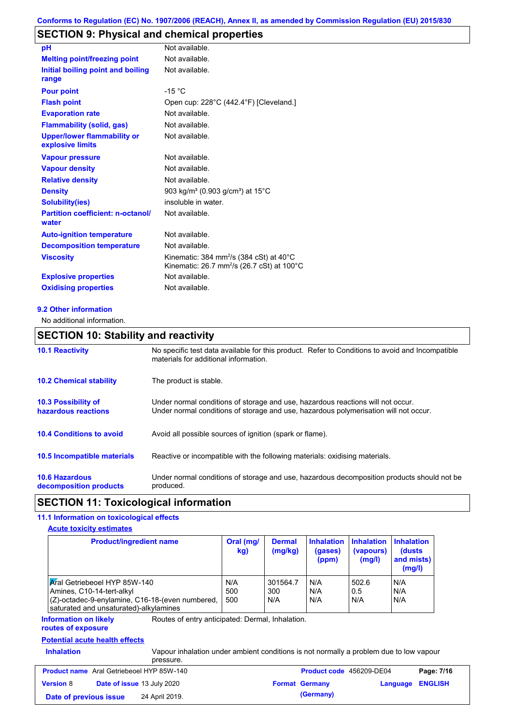# **SECTION 9: Physical and chemical properties**

| pH                                                     | Not available.                                                                                                                      |
|--------------------------------------------------------|-------------------------------------------------------------------------------------------------------------------------------------|
| <b>Melting point/freezing point</b>                    | Not available.                                                                                                                      |
| Initial boiling point and boiling                      | Not available.                                                                                                                      |
| range                                                  |                                                                                                                                     |
| <b>Pour point</b>                                      | $-15 °C$                                                                                                                            |
| <b>Flash point</b>                                     | Open cup: 228°C (442.4°F) [Cleveland.]                                                                                              |
| <b>Evaporation rate</b>                                | Not available.                                                                                                                      |
| <b>Flammability (solid, gas)</b>                       | Not available.                                                                                                                      |
| <b>Upper/lower flammability or</b><br>explosive limits | Not available.                                                                                                                      |
| <b>Vapour pressure</b>                                 | Not available.                                                                                                                      |
| <b>Vapour density</b>                                  | Not available.                                                                                                                      |
| <b>Relative density</b>                                | Not available.                                                                                                                      |
| <b>Density</b>                                         | 903 kg/m <sup>3</sup> (0.903 g/cm <sup>3</sup> ) at 15 <sup>°</sup> C                                                               |
| <b>Solubility(ies)</b>                                 | insoluble in water.                                                                                                                 |
| <b>Partition coefficient: n-octanol/</b><br>water      | Not available.                                                                                                                      |
| <b>Auto-ignition temperature</b>                       | Not available.                                                                                                                      |
| <b>Decomposition temperature</b>                       | Not available.                                                                                                                      |
| <b>Viscosity</b>                                       | Kinematic: 384 mm <sup>2</sup> /s (384 cSt) at 40 $^{\circ}$ C<br>Kinematic: 26.7 mm <sup>2</sup> /s (26.7 cSt) at 100 $^{\circ}$ C |
| <b>Explosive properties</b>                            | Not available.                                                                                                                      |
| <b>Oxidising properties</b>                            | Not available.                                                                                                                      |

### **9.2 Other information**

No additional information.

# **SECTION 10: Stability and reactivity**

| <b>10.1 Reactivity</b>                            | No specific test data available for this product. Refer to Conditions to avoid and Incompatible<br>materials for additional information.                                |
|---------------------------------------------------|-------------------------------------------------------------------------------------------------------------------------------------------------------------------------|
| <b>10.2 Chemical stability</b>                    | The product is stable.                                                                                                                                                  |
| <b>10.3 Possibility of</b><br>hazardous reactions | Under normal conditions of storage and use, hazardous reactions will not occur.<br>Under normal conditions of storage and use, hazardous polymerisation will not occur. |
| <b>10.4 Conditions to avoid</b>                   | Avoid all possible sources of ignition (spark or flame).                                                                                                                |
| 10.5 Incompatible materials                       | Reactive or incompatible with the following materials: oxidising materials.                                                                                             |
| <b>10.6 Hazardous</b><br>decomposition products   | Under normal conditions of storage and use, hazardous decomposition products should not be<br>produced.                                                                 |

## **SECTION 11: Toxicological information**

### **11.1 Information on toxicological effects**

#### **Acute toxicity estimates**

| <b>Product/ingredient name</b>                                                            | Oral (mg/<br>kg) | <b>Dermal</b><br>(mg/kg) | <b>Inhalation</b><br>(gases)<br>(ppm) | <b>Inhalation</b><br>(vapours)<br>(mg/l) | <b>Inhalation</b><br>(dusts)<br>and mists)<br>(mg/l) |
|-------------------------------------------------------------------------------------------|------------------|--------------------------|---------------------------------------|------------------------------------------|------------------------------------------------------|
| <b>Aral Getriebeoel HYP 85W-140</b>                                                       | N/A              | 301564.7                 | N/A                                   | 502.6                                    | N/A                                                  |
| Amines, C10-14-tert-alkyl                                                                 | 500              | 300                      | N/A                                   | 0.5                                      | N/A                                                  |
| (Z)-octadec-9-enylamine, C16-18-(even numbered,<br>saturated and unsaturated)-alkylamines | 500              | N/A                      | N/A                                   | N/A                                      | N/A                                                  |

**Information on likely** 

Routes of entry anticipated: Dermal, Inhalation.

### **routes of exposure**

### **Potential acute health effects**

**Inhalation** Vapour inhalation under ambient conditions is not normally a problem due to low vapour pressure.

|                        | ----------                                       |                       |                                 |            |
|------------------------|--------------------------------------------------|-----------------------|---------------------------------|------------|
|                        | <b>Product name</b> Aral Getriebeoel HYP 85W-140 |                       | <b>Product code</b> 456209-DE04 | Page: 7/16 |
| <b>Version 8</b>       | <b>Date of issue 13 July 2020</b>                | <b>Format Germany</b> | Language ENGLISH                |            |
| Date of previous issue | 24 April 2019.                                   | (Germany)             |                                 |            |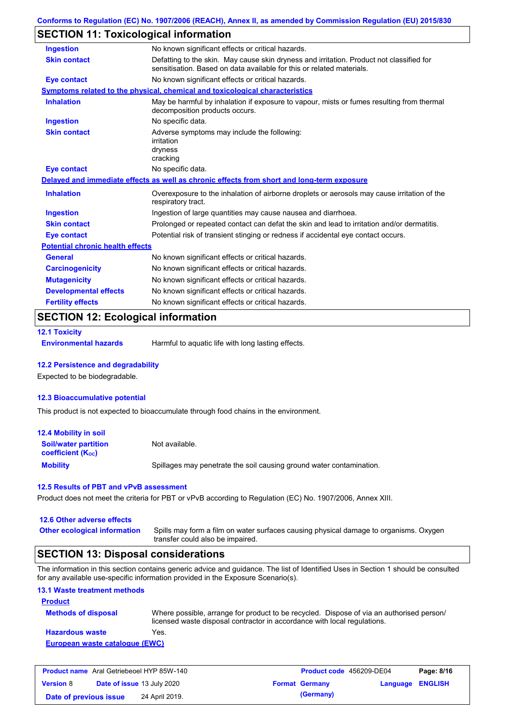# **SECTION 11: Toxicological information**

| <b>Ingestion</b>                        | No known significant effects or critical hazards.                                                                                                                 |
|-----------------------------------------|-------------------------------------------------------------------------------------------------------------------------------------------------------------------|
| <b>Skin contact</b>                     | Defatting to the skin. May cause skin dryness and irritation. Product not classified for<br>sensitisation. Based on data available for this or related materials. |
| <b>Eye contact</b>                      | No known significant effects or critical hazards.                                                                                                                 |
|                                         | Symptoms related to the physical, chemical and toxicological characteristics                                                                                      |
| <b>Inhalation</b>                       | May be harmful by inhalation if exposure to vapour, mists or fumes resulting from thermal<br>decomposition products occurs.                                       |
| <b>Ingestion</b>                        | No specific data.                                                                                                                                                 |
| <b>Skin contact</b>                     | Adverse symptoms may include the following:<br>irritation<br>dryness<br>cracking                                                                                  |
| <b>Eye contact</b>                      | No specific data.                                                                                                                                                 |
|                                         | Delayed and immediate effects as well as chronic effects from short and long-term exposure                                                                        |
| <b>Inhalation</b>                       | Overexposure to the inhalation of airborne droplets or aerosols may cause irritation of the<br>respiratory tract.                                                 |
| <b>Ingestion</b>                        | Ingestion of large quantities may cause nausea and diarrhoea.                                                                                                     |
| <b>Skin contact</b>                     | Prolonged or repeated contact can defat the skin and lead to irritation and/or dermatitis.                                                                        |
| <b>Eye contact</b>                      | Potential risk of transient stinging or redness if accidental eye contact occurs.                                                                                 |
| <b>Potential chronic health effects</b> |                                                                                                                                                                   |
| <b>General</b>                          | No known significant effects or critical hazards.                                                                                                                 |
| <b>Carcinogenicity</b>                  | No known significant effects or critical hazards.                                                                                                                 |
| <b>Mutagenicity</b>                     | No known significant effects or critical hazards.                                                                                                                 |
| <b>Developmental effects</b>            | No known significant effects or critical hazards.                                                                                                                 |
| <b>Fertility effects</b>                | No known significant effects or critical hazards.                                                                                                                 |
|                                         |                                                                                                                                                                   |

# **SECTION 12: Ecological information**

**12.1 Toxicity**

**Environmental hazards** Harmful to aquatic life with long lasting effects.

### **12.2 Persistence and degradability**

Expected to be biodegradable.

### **12.3 Bioaccumulative potential**

This product is not expected to bioaccumulate through food chains in the environment.

| <b>12.4 Mobility in soil</b>                                  |                                                                      |
|---------------------------------------------------------------|----------------------------------------------------------------------|
| <b>Soil/water partition</b><br>coefficient (K <sub>oc</sub> ) | Not available.                                                       |
| <b>Mobility</b>                                               | Spillages may penetrate the soil causing ground water contamination. |

### **12.5 Results of PBT and vPvB assessment**

Product does not meet the criteria for PBT or vPvB according to Regulation (EC) No. 1907/2006, Annex XIII.

### **12.6 Other adverse effects**

**Other ecological information**

Spills may form a film on water surfaces causing physical damage to organisms. Oxygen transfer could also be impaired.

## **SECTION 13: Disposal considerations**

The information in this section contains generic advice and guidance. The list of Identified Uses in Section 1 should be consulted for any available use-specific information provided in the Exposure Scenario(s).

### **13.1 Waste treatment methods**

| <b>Product</b>                 |                                                                                                                                                                      |
|--------------------------------|----------------------------------------------------------------------------------------------------------------------------------------------------------------------|
| <b>Methods of disposal</b>     | Where possible, arrange for product to be recycled. Dispose of via an authorised person/<br>licensed waste disposal contractor in accordance with local regulations. |
| <b>Hazardous waste</b>         | Yes.                                                                                                                                                                 |
| European waste catalogue (EWC) |                                                                                                                                                                      |

| <b>Product name</b> Aral Getriebeoel HYP 85W-140 |  |                                   | Product code 456209-DE04 | Page: 8/16              |
|--------------------------------------------------|--|-----------------------------------|--------------------------|-------------------------|
| <b>Version 8</b>                                 |  | <b>Date of issue 13 July 2020</b> | <b>Format Germany</b>    | <b>Language ENGLISH</b> |
| Date of previous issue                           |  | 24 April 2019.                    | (Germany)                |                         |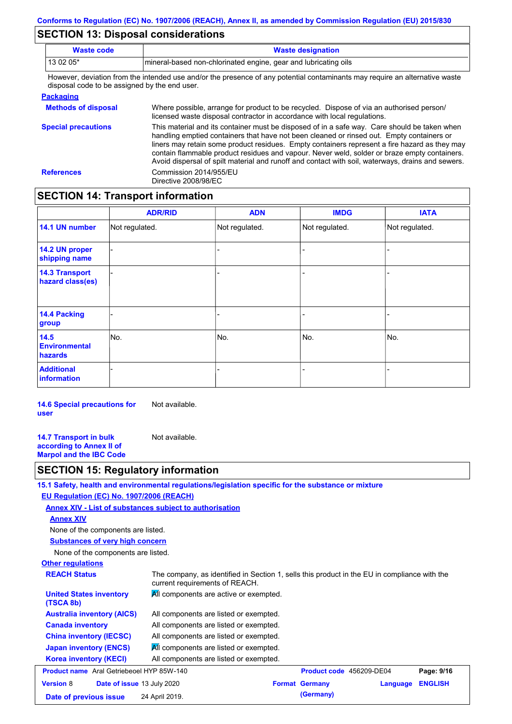## **SECTION 13: Disposal considerations**

| <b>Waste code</b>                             | <b>Waste designation</b>                                                                                                                                                                                                                                                                                                                                                                   |  |
|-----------------------------------------------|--------------------------------------------------------------------------------------------------------------------------------------------------------------------------------------------------------------------------------------------------------------------------------------------------------------------------------------------------------------------------------------------|--|
| 13 02 05*                                     | mineral-based non-chlorinated engine, gear and lubricating oils                                                                                                                                                                                                                                                                                                                            |  |
| disposal code to be assigned by the end user. | However, deviation from the intended use and/or the presence of any potential contaminants may require an alternative waste                                                                                                                                                                                                                                                                |  |
| <b>Packaging</b>                              |                                                                                                                                                                                                                                                                                                                                                                                            |  |
| <b>Methods of disposal</b>                    | Where possible, arrange for product to be recycled. Dispose of via an authorised person/<br>licensed waste disposal contractor in accordance with local regulations.                                                                                                                                                                                                                       |  |
| <b>Special precautions</b>                    | This material and its container must be disposed of in a safe way. Care should be taken when<br>handling emptied containers that have not been cleaned or rinsed out. Empty containers or<br>liners may retain some product residues. Empty containers represent a fire hazard as they may<br>contain flammable product residues and vapour. Never weld, solder or braze empty containers. |  |

Avoid dispersal of spilt material and runoff and contact with soil, waterways, drains and sewers.

**SECTION 14: Transport information**

**References** Commission 2014/955/EU

Directive 2008/98/EC

|                                           | <b>ADR/RID</b> | <b>ADN</b>     | <b>IMDG</b>    | <b>IATA</b>    |
|-------------------------------------------|----------------|----------------|----------------|----------------|
| 14.1 UN number                            | Not regulated. | Not regulated. | Not regulated. | Not regulated. |
| 14.2 UN proper<br>shipping name           |                |                | -              |                |
| <b>14.3 Transport</b><br>hazard class(es) |                |                | -              |                |
| <b>14.4 Packing</b><br>group              |                |                |                |                |
| 14.5<br><b>Environmental</b><br>hazards   | No.            | No.            | No.            | No.            |
| <b>Additional</b><br><b>information</b>   |                |                |                |                |

**14.6 Special precautions for user** Not available.

**14.7 Transport in bulk according to Annex II of Marpol and the IBC Code** Not available.

## **SECTION 15: Regulatory information**

**15.1 Safety, health and environmental regulations/legislation specific for the substance or mixture**

#### **EU Regulation (EC) No. 1907/2006 (REACH)**

**Annex XIV - List of substances subject to authorisation**

**Annex XIV**

None of the components are listed.

**Substances of very high concern**

None of the components are listed.

### **Other regulations**

**REACH Status** The company, as identified in Section 1, sells this product in the EU in compliance with the current requirements of REACH. All components are listed or exempted. All components are listed or exempted. All components are listed or exempted. All components are listed or exempted. All components are active or exempted. All components are listed or exempted. **United States inventory (TSCA 8b) Australia inventory (AICS) Canada inventory China inventory (IECSC) Japan inventory (ENCS) Korea inventory (KECI) Product name** Aral Getriebeoel HYP 85W-140 **Product code** 456209-DE04 **Page: 9/16 Version** 8 **Date of issue** 13 July 2020 **Format Germany Language ENGLISH Date of previous issue** 24 April 2019. **(Germany) (Germany)**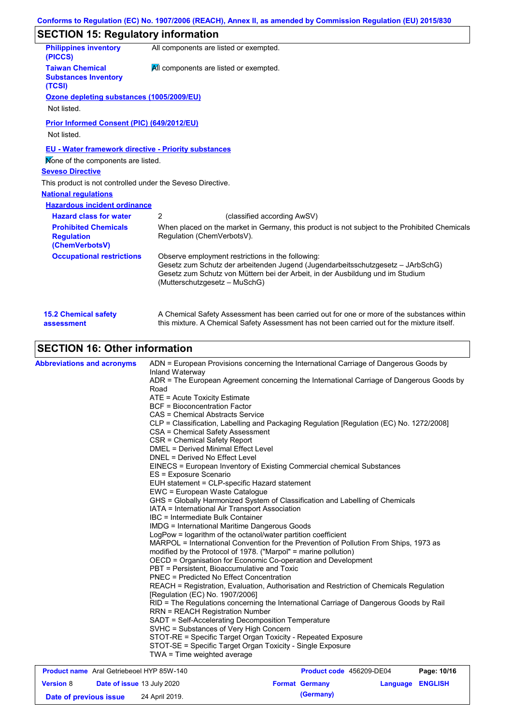# **SECTION 15: Regulatory information**

| <b>Philippines inventory</b><br>(PICCS)                            | All components are listed or exempted.                                                                                                                                                                                                                  |  |
|--------------------------------------------------------------------|---------------------------------------------------------------------------------------------------------------------------------------------------------------------------------------------------------------------------------------------------------|--|
| <b>Taiwan Chemical</b><br><b>Substances Inventory</b><br>(TCSI)    | All components are listed or exempted.                                                                                                                                                                                                                  |  |
| Ozone depleting substances (1005/2009/EU)<br>Not listed.           |                                                                                                                                                                                                                                                         |  |
| Prior Informed Consent (PIC) (649/2012/EU)                         |                                                                                                                                                                                                                                                         |  |
| Not listed.                                                        |                                                                                                                                                                                                                                                         |  |
| <b>EU - Water framework directive - Priority substances</b>        |                                                                                                                                                                                                                                                         |  |
| Mone of the components are listed.                                 |                                                                                                                                                                                                                                                         |  |
| <b>Seveso Directive</b>                                            |                                                                                                                                                                                                                                                         |  |
| This product is not controlled under the Seveso Directive.         |                                                                                                                                                                                                                                                         |  |
| <b>National regulations</b>                                        |                                                                                                                                                                                                                                                         |  |
| <b>Hazardous incident ordinance</b>                                |                                                                                                                                                                                                                                                         |  |
| <b>Hazard class for water</b>                                      | 2<br>(classified according AwSV)                                                                                                                                                                                                                        |  |
| <b>Prohibited Chemicals</b><br><b>Regulation</b><br>(ChemVerbotsV) | When placed on the market in Germany, this product is not subject to the Prohibited Chemicals<br>Regulation (ChemVerbotsV).                                                                                                                             |  |
| <b>Occupational restrictions</b>                                   | Observe employment restrictions in the following:<br>Gesetz zum Schutz der arbeitenden Jugend (Jugendarbeitsschutzgesetz - JArbSchG)<br>Gesetz zum Schutz von Müttern bei der Arbeit, in der Ausbildung und im Studium<br>(Mutterschutzgesetz – MuSchG) |  |
| <b>15.2 Chemical safety</b><br>assessment                          | A Chemical Safety Assessment has been carried out for one or more of the substances within<br>this mixture. A Chemical Safety Assessment has not been carried out for the mixture itself.                                                               |  |

# **SECTION 16: Other information**

| <b>Abbreviations and acronyms</b> | ADN = European Provisions concerning the International Carriage of Dangerous Goods by<br>Inland Waterway<br>ADR = The European Agreement concerning the International Carriage of Dangerous Goods by<br>Road<br>ATE = Acute Toxicity Estimate<br><b>BCF</b> = Bioconcentration Factor                                                                                                         |
|-----------------------------------|-----------------------------------------------------------------------------------------------------------------------------------------------------------------------------------------------------------------------------------------------------------------------------------------------------------------------------------------------------------------------------------------------|
|                                   | CAS = Chemical Abstracts Service<br>CLP = Classification, Labelling and Packaging Regulation [Regulation (EC) No. 1272/2008]<br>CSA = Chemical Safety Assessment<br>CSR = Chemical Safety Report<br><b>DMEL = Derived Minimal Effect Level</b>                                                                                                                                                |
|                                   | DNEL = Derived No Effect Level<br>EINECS = European Inventory of Existing Commercial chemical Substances<br>ES = Exposure Scenario<br>EUH statement = CLP-specific Hazard statement<br>EWC = European Waste Catalogue<br>GHS = Globally Harmonized System of Classification and Labelling of Chemicals                                                                                        |
|                                   | IATA = International Air Transport Association<br>IBC = Intermediate Bulk Container<br><b>IMDG = International Maritime Dangerous Goods</b><br>LogPow = logarithm of the octanol/water partition coefficient<br>MARPOL = International Convention for the Prevention of Pollution From Ships, 1973 as<br>modified by the Protocol of 1978. ("Marpol" = marine pollution)                      |
|                                   | OECD = Organisation for Economic Co-operation and Development<br>PBT = Persistent, Bioaccumulative and Toxic<br><b>PNEC = Predicted No Effect Concentration</b><br>REACH = Registration, Evaluation, Authorisation and Restriction of Chemicals Regulation<br>[Regulation (EC) No. 1907/2006]                                                                                                 |
|                                   | RID = The Regulations concerning the International Carriage of Dangerous Goods by Rail<br><b>RRN = REACH Registration Number</b><br>SADT = Self-Accelerating Decomposition Temperature<br>SVHC = Substances of Very High Concern<br>STOT-RE = Specific Target Organ Toxicity - Repeated Exposure<br>STOT-SE = Specific Target Organ Toxicity - Single Exposure<br>TWA = Time weighted average |

| <b>Product name</b> Aral Getriebeoel HYP 85W-140 |                                   | Product code 456209-DE04 |                       | Page: 10/16             |  |
|--------------------------------------------------|-----------------------------------|--------------------------|-----------------------|-------------------------|--|
| <b>Version 8</b>                                 | <b>Date of issue 13 July 2020</b> |                          | <b>Format Germany</b> | <b>Language ENGLISH</b> |  |
| Date of previous issue                           |                                   | 24 April 2019.           | (Germany)             |                         |  |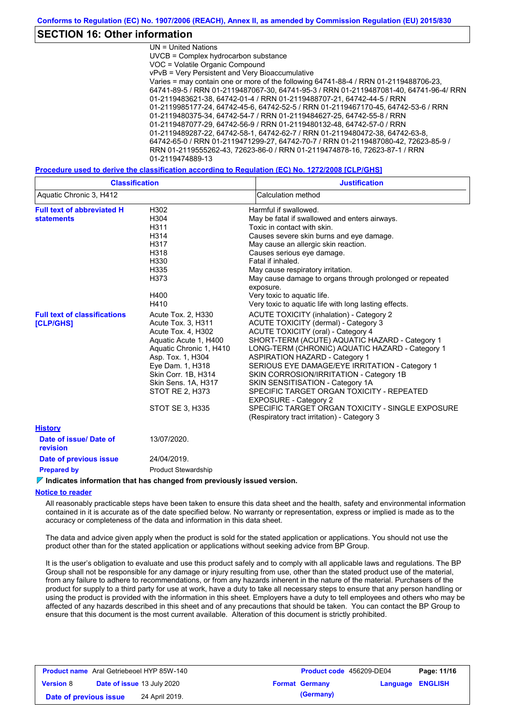## **SECTION 16: Other information**

UN = United Nations UVCB = Complex hydrocarbon substance VOC = Volatile Organic Compound vPvB = Very Persistent and Very Bioaccumulative Varies = may contain one or more of the following 64741-88-4 / RRN 01-2119488706-23, 64741-89-5 / RRN 01-2119487067-30, 64741-95-3 / RRN 01-2119487081-40, 64741-96-4/ RRN 01-2119483621-38, 64742-01-4 / RRN 01-2119488707-21, 64742-44-5 / RRN 01-2119985177-24, 64742-45-6, 64742-52-5 / RRN 01-2119467170-45, 64742-53-6 / RRN 01-2119480375-34, 64742-54-7 / RRN 01-2119484627-25, 64742-55-8 / RRN 01-2119487077-29, 64742-56-9 / RRN 01-2119480132-48, 64742-57-0 / RRN 01-2119489287-22, 64742-58-1, 64742-62-7 / RRN 01-2119480472-38, 64742-63-8, 64742-65-0 / RRN 01-2119471299-27, 64742-70-7 / RRN 01-2119487080-42, 72623-85-9 / RRN 01-2119555262-43, 72623-86-0 / RRN 01-2119474878-16, 72623-87-1 / RRN 01-2119474889-13

**Procedure used to derive the classification according to Regulation (EC) No. 1272/2008 [CLP/GHS]**

| <b>Classification</b>                                   |                                                                                                                                                                                                                                                               | <b>Justification</b>                                                                                                                                                                                                                                                                                                                                                                                                                                                                                                                                                                         |
|---------------------------------------------------------|---------------------------------------------------------------------------------------------------------------------------------------------------------------------------------------------------------------------------------------------------------------|----------------------------------------------------------------------------------------------------------------------------------------------------------------------------------------------------------------------------------------------------------------------------------------------------------------------------------------------------------------------------------------------------------------------------------------------------------------------------------------------------------------------------------------------------------------------------------------------|
| Aquatic Chronic 3, H412                                 |                                                                                                                                                                                                                                                               | Calculation method                                                                                                                                                                                                                                                                                                                                                                                                                                                                                                                                                                           |
| <b>Full text of abbreviated H</b><br><b>statements</b>  | H302<br>H304<br>H311<br>H314<br>H317<br>H318<br>H330<br>H335<br>H373<br>H400<br>H410                                                                                                                                                                          | Harmful if swallowed.<br>May be fatal if swallowed and enters airways.<br>Toxic in contact with skin.<br>Causes severe skin burns and eye damage.<br>May cause an allergic skin reaction.<br>Causes serious eye damage.<br>Fatal if inhaled.<br>May cause respiratory irritation.<br>May cause damage to organs through prolonged or repeated<br>exposure.<br>Very toxic to aquatic life.<br>Very toxic to aquatic life with long lasting effects.                                                                                                                                           |
| <b>Full text of classifications</b><br><b>[CLP/GHS]</b> | Acute Tox. 2, H330<br>Acute Tox. 3, H311<br>Acute Tox. 4, H302<br>Aquatic Acute 1, H400<br>Aquatic Chronic 1, H410<br>Asp. Tox. 1, H304<br>Eye Dam. 1, H318<br>Skin Corr. 1B, H314<br>Skin Sens. 1A, H317<br><b>STOT RE 2, H373</b><br><b>STOT SE 3, H335</b> | ACUTE TOXICITY (inhalation) - Category 2<br>ACUTE TOXICITY (dermal) - Category 3<br><b>ACUTE TOXICITY (oral) - Category 4</b><br>SHORT-TERM (ACUTE) AQUATIC HAZARD - Category 1<br>LONG-TERM (CHRONIC) AQUATIC HAZARD - Category 1<br><b>ASPIRATION HAZARD - Category 1</b><br>SERIOUS EYE DAMAGE/EYE IRRITATION - Category 1<br>SKIN CORROSION/IRRITATION - Category 1B<br>SKIN SENSITISATION - Category 1A<br>SPECIFIC TARGET ORGAN TOXICITY - REPEATED<br><b>EXPOSURE - Category 2</b><br>SPECIFIC TARGET ORGAN TOXICITY - SINGLE EXPOSURE<br>(Respiratory tract irritation) - Category 3 |
| <b>History</b>                                          |                                                                                                                                                                                                                                                               |                                                                                                                                                                                                                                                                                                                                                                                                                                                                                                                                                                                              |
| Date of issue/Date of<br>revision                       | 13/07/2020.                                                                                                                                                                                                                                                   |                                                                                                                                                                                                                                                                                                                                                                                                                                                                                                                                                                                              |
| Date of previous issue                                  | 24/04/2019.                                                                                                                                                                                                                                                   |                                                                                                                                                                                                                                                                                                                                                                                                                                                                                                                                                                                              |
| <b>Prepared by</b>                                      | <b>Product Stewardship</b>                                                                                                                                                                                                                                    |                                                                                                                                                                                                                                                                                                                                                                                                                                                                                                                                                                                              |

#### **Indicates information that has changed from previously issued version.**

#### **Notice to reader**

All reasonably practicable steps have been taken to ensure this data sheet and the health, safety and environmental information contained in it is accurate as of the date specified below. No warranty or representation, express or implied is made as to the accuracy or completeness of the data and information in this data sheet.

The data and advice given apply when the product is sold for the stated application or applications. You should not use the product other than for the stated application or applications without seeking advice from BP Group.

It is the user's obligation to evaluate and use this product safely and to comply with all applicable laws and regulations. The BP Group shall not be responsible for any damage or injury resulting from use, other than the stated product use of the material, from any failure to adhere to recommendations, or from any hazards inherent in the nature of the material. Purchasers of the product for supply to a third party for use at work, have a duty to take all necessary steps to ensure that any person handling or using the product is provided with the information in this sheet. Employers have a duty to tell employees and others who may be affected of any hazards described in this sheet and of any precautions that should be taken. You can contact the BP Group to ensure that this document is the most current available. Alteration of this document is strictly prohibited.

| <b>Product name</b> Aral Getriebeoel HYP 85W-140 |  | <b>Product code</b> 456209-DE04   |                       | Page: 11/16             |  |
|--------------------------------------------------|--|-----------------------------------|-----------------------|-------------------------|--|
| <b>Version 8</b>                                 |  | <b>Date of issue 13 July 2020</b> | <b>Format Germany</b> | <b>Language ENGLISH</b> |  |
| Date of previous issue                           |  | 24 April 2019.                    | (Germany)             |                         |  |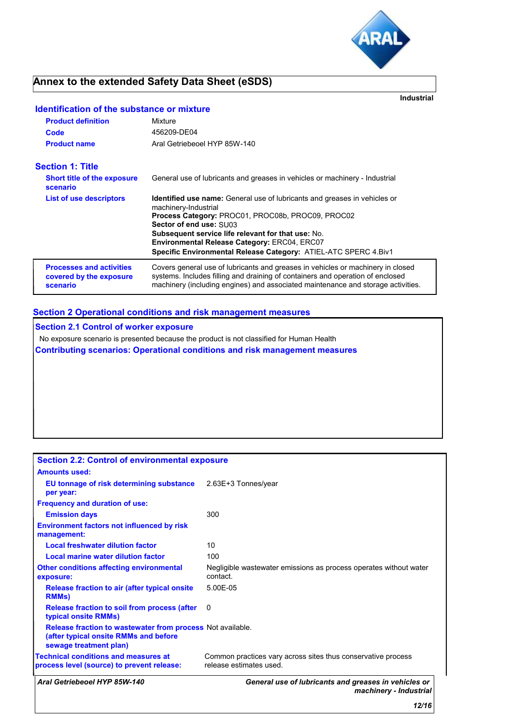

**Industrial**

# **Annex to the extended Safety Data Sheet (eSDS)**

## **Identification of the substance or mixture**

| <b>Product definition</b>                                              | Mixture                                                                                                                                                                                                                                                                                                                                                                         |
|------------------------------------------------------------------------|---------------------------------------------------------------------------------------------------------------------------------------------------------------------------------------------------------------------------------------------------------------------------------------------------------------------------------------------------------------------------------|
| Code                                                                   | 456209-DE04                                                                                                                                                                                                                                                                                                                                                                     |
| <b>Product name</b>                                                    | Aral Getriebeoel HYP 85W-140                                                                                                                                                                                                                                                                                                                                                    |
| <b>Section 1: Title</b>                                                |                                                                                                                                                                                                                                                                                                                                                                                 |
| <b>Short title of the exposure</b><br>scenario                         | General use of lubricants and greases in vehicles or machinery - Industrial                                                                                                                                                                                                                                                                                                     |
| <b>List of use descriptors</b>                                         | <b>Identified use name:</b> General use of lubricants and greases in vehicles or<br>machinery-Industrial<br>Process Category: PROC01, PROC08b, PROC09, PROC02<br>Sector of end use: SU03<br><b>Subsequent service life relevant for that use: No.</b><br><b>Environmental Release Category: ERC04, ERC07</b><br>Specific Environmental Release Category: ATIEL-ATC SPERC 4.Biv1 |
| <b>Processes and activities</b><br>covered by the exposure<br>scenario | Covers general use of lubricants and greases in vehicles or machinery in closed<br>systems. Includes filling and draining of containers and operation of enclosed<br>machinery (including engines) and associated maintenance and storage activities.                                                                                                                           |

## **Section 2 Operational conditions and risk management measures**

**Section 2.1 Control of worker exposure** No exposure scenario is presented because the product is not classified for Human Health **Contributing scenarios: Operational conditions and risk management measures**

|                                                                                                                               | machinery - Industrial<br>12/16                                                         |
|-------------------------------------------------------------------------------------------------------------------------------|-----------------------------------------------------------------------------------------|
| Aral Getriebeoel HYP 85W-140                                                                                                  | General use of lubricants and greases in vehicles or                                    |
| <b>Technical conditions and measures at</b><br>process level (source) to prevent release:                                     | Common practices vary across sites thus conservative process<br>release estimates used. |
| Release fraction to wastewater from process Not available.<br>(after typical onsite RMMs and before<br>sewage treatment plan) |                                                                                         |
| Release fraction to soil from process (after<br>typical onsite RMMs)                                                          | 0                                                                                       |
| <b>Release fraction to air (after typical onsite)</b><br><b>RMMs</b> )                                                        | 5.00E-05                                                                                |
| <b>Other conditions affecting environmental</b><br>exposure:                                                                  | Negligible wastewater emissions as process operates without water<br>contact.           |
| Local marine water dilution factor                                                                                            | 100                                                                                     |
| <b>Local freshwater dilution factor</b>                                                                                       | 10                                                                                      |
| <b>Environment factors not influenced by risk</b><br>management:                                                              |                                                                                         |
| <b>Emission days</b>                                                                                                          | 300                                                                                     |
| <b>Frequency and duration of use:</b>                                                                                         |                                                                                         |
| <b>EU tonnage of risk determining substance</b> 2.63E+3 Tonnes/year<br>per year:                                              |                                                                                         |
| <b>Amounts used:</b>                                                                                                          |                                                                                         |
| <b>Section 2.2: Control of environmental exposure</b>                                                                         |                                                                                         |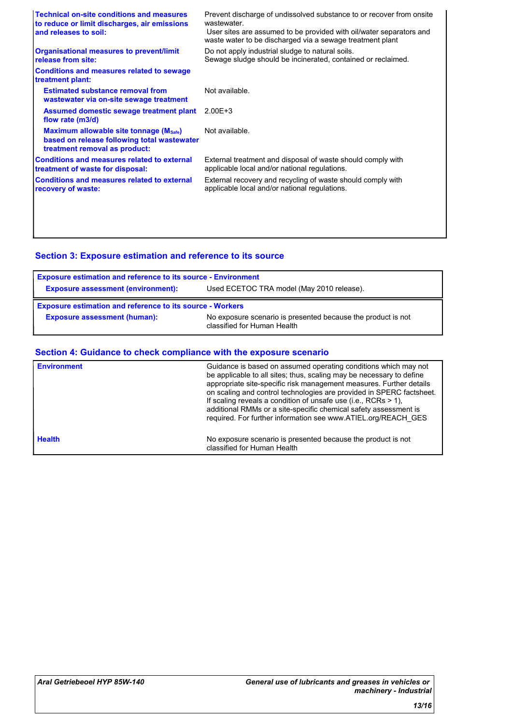| <b>Technical on-site conditions and measures</b><br>to reduce or limit discharges, air emissions<br>and releases to soil: | Prevent discharge of undissolved substance to or recover from onsite<br>wastewater<br>User sites are assumed to be provided with oil/water separators and<br>waste water to be discharged via a sewage treatment plant |
|---------------------------------------------------------------------------------------------------------------------------|------------------------------------------------------------------------------------------------------------------------------------------------------------------------------------------------------------------------|
| <b>Organisational measures to prevent/limit</b><br>release from site:                                                     | Do not apply industrial sludge to natural soils.<br>Sewage sludge should be incinerated, contained or reclaimed.                                                                                                       |
| <b>Conditions and measures related to sewage</b><br>treatment plant:                                                      |                                                                                                                                                                                                                        |
| <b>Estimated substance removal from</b><br>wastewater via on-site sewage treatment                                        | Not available.                                                                                                                                                                                                         |
| Assumed domestic sewage treatment plant<br>flow rate (m3/d)                                                               | $2.00E + 3$                                                                                                                                                                                                            |
| Maximum allowable site tonnage (Msafe)<br>based on release following total wastewater<br>treatment removal as product:    | Not available.                                                                                                                                                                                                         |
| <b>Conditions and measures related to external</b><br>treatment of waste for disposal:                                    | External treatment and disposal of waste should comply with<br>applicable local and/or national regulations.                                                                                                           |
| <b>Conditions and measures related to external</b><br>recovery of waste:                                                  | External recovery and recycling of waste should comply with<br>applicable local and/or national regulations.                                                                                                           |
|                                                                                                                           |                                                                                                                                                                                                                        |
|                                                                                                                           |                                                                                                                                                                                                                        |

## **Section 3: Exposure estimation and reference to its source**

| <b>Exposure estimation and reference to its source - Environment</b>                   |                                                                                             |  |  |  |
|----------------------------------------------------------------------------------------|---------------------------------------------------------------------------------------------|--|--|--|
| Used ECETOC TRA model (May 2010 release).<br><b>Exposure assessment (environment):</b> |                                                                                             |  |  |  |
| <b>Exposure estimation and reference to its source - Workers</b>                       |                                                                                             |  |  |  |
| <b>Exposure assessment (human):</b>                                                    | No exposure scenario is presented because the product is not<br>classified for Human Health |  |  |  |

## **Section 4: Guidance to check compliance with the exposure scenario**

| <b>Environment</b> | Guidance is based on assumed operating conditions which may not<br>be applicable to all sites; thus, scaling may be necessary to define<br>appropriate site-specific risk management measures. Further details<br>on scaling and control technologies are provided in SPERC factsheet.<br>If scaling reveals a condition of unsafe use (i.e., RCRs $> 1$ ),<br>additional RMMs or a site-specific chemical safety assessment is<br>required. For further information see www.ATIEL.org/REACH_GES |
|--------------------|--------------------------------------------------------------------------------------------------------------------------------------------------------------------------------------------------------------------------------------------------------------------------------------------------------------------------------------------------------------------------------------------------------------------------------------------------------------------------------------------------|
| <b>Health</b>      | No exposure scenario is presented because the product is not<br>classified for Human Health                                                                                                                                                                                                                                                                                                                                                                                                      |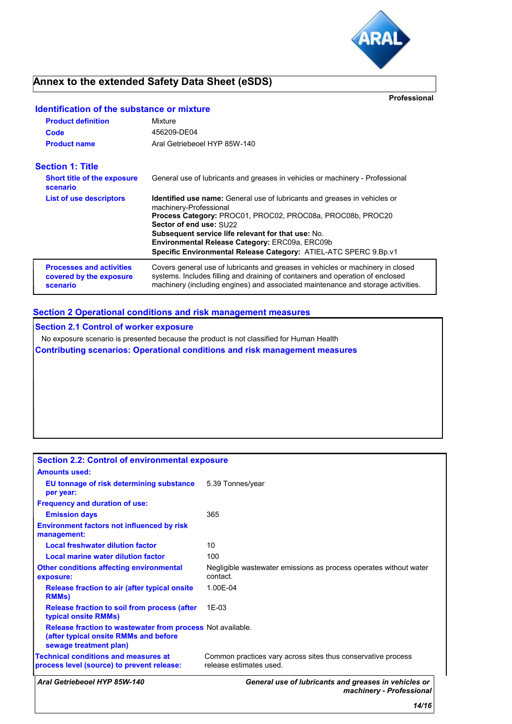

# **Annex to the extended Safety Data Sheet (eSDS)**

**Professional**

# **Identification of the substance or mixture**

| <b>Product definition</b><br>Code<br><b>Product name</b>               | Mixture<br>456209-DE04<br>Aral Getriebeoel HYP 85W-140                                                                                                                                                                                                                                                                                                                          |
|------------------------------------------------------------------------|---------------------------------------------------------------------------------------------------------------------------------------------------------------------------------------------------------------------------------------------------------------------------------------------------------------------------------------------------------------------------------|
| <b>Section 1: Title</b>                                                |                                                                                                                                                                                                                                                                                                                                                                                 |
| <b>Short title of the exposure</b><br>scenario                         | General use of lubricants and greases in vehicles or machinery - Professional                                                                                                                                                                                                                                                                                                   |
| <b>List of use descriptors</b>                                         | <b>Identified use name:</b> General use of lubricants and greases in vehicles or<br>machinery-Professional<br>Process Category: PROC01, PROC02, PROC08a, PROC08b, PROC20<br>Sector of end use: SU22<br>Subsequent service life relevant for that use: No.<br>Environmental Release Category: ERC09a, ERC09b<br>Specific Environmental Release Category: ATIEL-ATC SPERC 9.Bp.v1 |
| <b>Processes and activities</b><br>covered by the exposure<br>scenario | Covers general use of lubricants and greases in vehicles or machinery in closed<br>systems. Includes filling and draining of containers and operation of enclosed<br>machinery (including engines) and associated maintenance and storage activities.                                                                                                                           |

## **Section 2 Operational conditions and risk management measures**

**Section 2.1 Control of worker exposure**

No exposure scenario is presented because the product is not classified for Human Health

**Contributing scenarios: Operational conditions and risk management measures**

| <b>Section 2.2: Control of environmental exposure</b>                                                                         |                                                                                         |
|-------------------------------------------------------------------------------------------------------------------------------|-----------------------------------------------------------------------------------------|
| <b>Amounts used:</b>                                                                                                          |                                                                                         |
| EU tonnage of risk determining substance<br>per year:                                                                         | 5.39 Tonnes/year                                                                        |
| <b>Frequency and duration of use:</b>                                                                                         |                                                                                         |
| <b>Emission days</b>                                                                                                          | 365                                                                                     |
| <b>Environment factors not influenced by risk</b><br>management:                                                              |                                                                                         |
| <b>Local freshwater dilution factor</b>                                                                                       | 10                                                                                      |
| Local marine water dilution factor                                                                                            | 100                                                                                     |
| <b>Other conditions affecting environmental</b><br>exposure:                                                                  | Negligible wastewater emissions as process operates without water<br>contact.           |
| Release fraction to air (after typical onsite<br><b>RMMs</b> )                                                                | 1.00E-04                                                                                |
| Release fraction to soil from process (after<br>typical onsite RMMs)                                                          | $1F-0.3$                                                                                |
| Release fraction to wastewater from process Not available.<br>(after typical onsite RMMs and before<br>sewage treatment plan) |                                                                                         |
| <b>Technical conditions and measures at</b><br>process level (source) to prevent release:                                     | Common practices vary across sites thus conservative process<br>release estimates used. |
| Aral Getriebeoel HYP 85W-140                                                                                                  | General use of lubricants and greases in vehicles or<br>machinery - Professional        |
|                                                                                                                               | 14/16                                                                                   |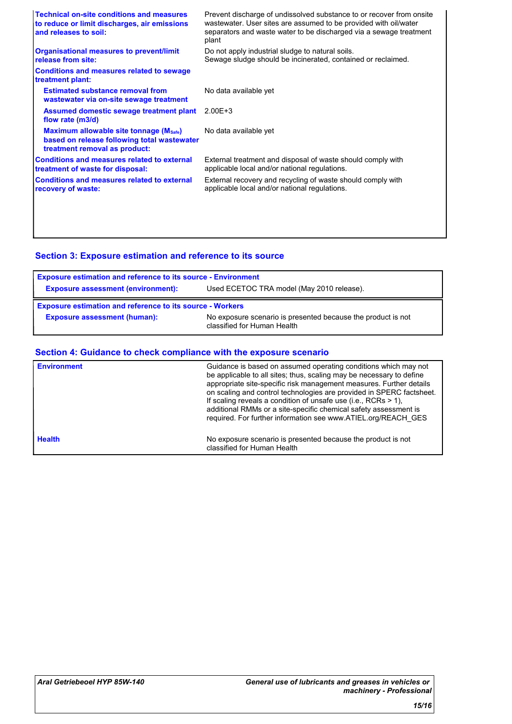| <b>Technical on-site conditions and measures</b><br>to reduce or limit discharges, air emissions<br>and releases to soil: | Prevent discharge of undissolved substance to or recover from onsite<br>wastewater. User sites are assumed to be provided with oil/water<br>separators and waste water to be discharged via a sewage treatment<br>plant |
|---------------------------------------------------------------------------------------------------------------------------|-------------------------------------------------------------------------------------------------------------------------------------------------------------------------------------------------------------------------|
| <b>Organisational measures to prevent/limit</b><br>release from site:                                                     | Do not apply industrial sludge to natural soils.<br>Sewage sludge should be incinerated, contained or reclaimed.                                                                                                        |
| <b>Conditions and measures related to sewage</b><br>treatment plant:                                                      |                                                                                                                                                                                                                         |
| <b>Estimated substance removal from</b><br>wastewater via on-site sewage treatment                                        | No data available yet                                                                                                                                                                                                   |
| Assumed domestic sewage treatment plant<br>flow rate (m3/d)                                                               | $2.00E + 3$                                                                                                                                                                                                             |
| Maximum allowable site tonnage (Msafe)<br>based on release following total wastewater<br>treatment removal as product:    | No data available yet                                                                                                                                                                                                   |
| <b>Conditions and measures related to external</b><br>treatment of waste for disposal:                                    | External treatment and disposal of waste should comply with<br>applicable local and/or national regulations.                                                                                                            |
| <b>Conditions and measures related to external</b><br>recovery of waste:                                                  | External recovery and recycling of waste should comply with<br>applicable local and/or national regulations.                                                                                                            |
|                                                                                                                           |                                                                                                                                                                                                                         |
|                                                                                                                           |                                                                                                                                                                                                                         |

## **Section 3: Exposure estimation and reference to its source**

| <b>Exposure estimation and reference to its source - Environment</b>                   |                                                                                             |  |  |  |
|----------------------------------------------------------------------------------------|---------------------------------------------------------------------------------------------|--|--|--|
| Used ECETOC TRA model (May 2010 release).<br><b>Exposure assessment (environment):</b> |                                                                                             |  |  |  |
| <b>Exposure estimation and reference to its source - Workers</b>                       |                                                                                             |  |  |  |
| <b>Exposure assessment (human):</b>                                                    | No exposure scenario is presented because the product is not<br>classified for Human Health |  |  |  |

## **Section 4: Guidance to check compliance with the exposure scenario**

| <b>Environment</b> | Guidance is based on assumed operating conditions which may not<br>be applicable to all sites; thus, scaling may be necessary to define<br>appropriate site-specific risk management measures. Further details<br>on scaling and control technologies are provided in SPERC factsheet.<br>If scaling reveals a condition of unsafe use (i.e., RCRs $> 1$ ),<br>additional RMMs or a site-specific chemical safety assessment is<br>required. For further information see www.ATIEL.org/REACH_GES |
|--------------------|--------------------------------------------------------------------------------------------------------------------------------------------------------------------------------------------------------------------------------------------------------------------------------------------------------------------------------------------------------------------------------------------------------------------------------------------------------------------------------------------------|
| <b>Health</b>      | No exposure scenario is presented because the product is not<br>classified for Human Health                                                                                                                                                                                                                                                                                                                                                                                                      |